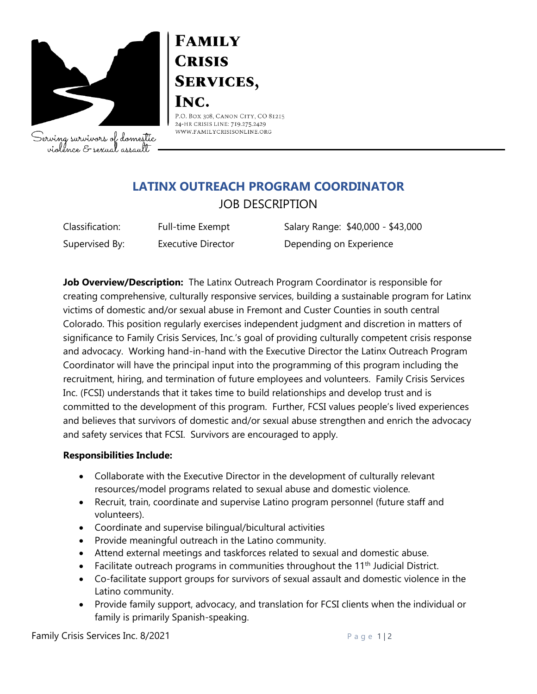

Serving survivors of domestic violence & sexual assault

# **FAMILY CRISIS SERVICES,** INC.

P.O. BOX 308, CANON CITY, CO 81215 24-HR CRISIS LINE: 719.275.2429 WWW.FAMILYCRISISONLINE.ORG

## **LATINX OUTREACH PROGRAM COORDINATOR** JOB DESCRIPTION

Classification: Full-time Exempt Salary Range: \$40,000 - \$43,000 Supervised By: Executive Director **Depending on Experience** 

**Job Overview/Description:** The Latinx Outreach Program Coordinator is responsible for creating comprehensive, culturally responsive services, building a sustainable program for Latinx victims of domestic and/or sexual abuse in Fremont and Custer Counties in south central Colorado. This position regularly exercises independent judgment and discretion in matters of significance to Family Crisis Services, Inc.'s goal of providing culturally competent crisis response and advocacy. Working hand-in-hand with the Executive Director the Latinx Outreach Program Coordinator will have the principal input into the programming of this program including the recruitment, hiring, and termination of future employees and volunteers. Family Crisis Services Inc. (FCSI) understands that it takes time to build relationships and develop trust and is committed to the development of this program. Further, FCSI values people's lived experiences and believes that survivors of domestic and/or sexual abuse strengthen and enrich the advocacy and safety services that FCSI. Survivors are encouraged to apply.

### **Responsibilities Include:**

- Collaborate with the Executive Director in the development of culturally relevant resources/model programs related to sexual abuse and domestic violence.
- Recruit, train, coordinate and supervise Latino program personnel (future staff and volunteers).
- Coordinate and supervise bilingual/bicultural activities
- Provide meaningful outreach in the Latino community.
- Attend external meetings and taskforces related to sexual and domestic abuse.
- Facilitate outreach programs in communities throughout the  $11<sup>th</sup>$  Judicial District.
- Co-facilitate support groups for survivors of sexual assault and domestic violence in the Latino community.
- Provide family support, advocacy, and translation for FCSI clients when the individual or family is primarily Spanish-speaking.

Family Crisis Services Inc.  $8/2021$  P a g e 1|2